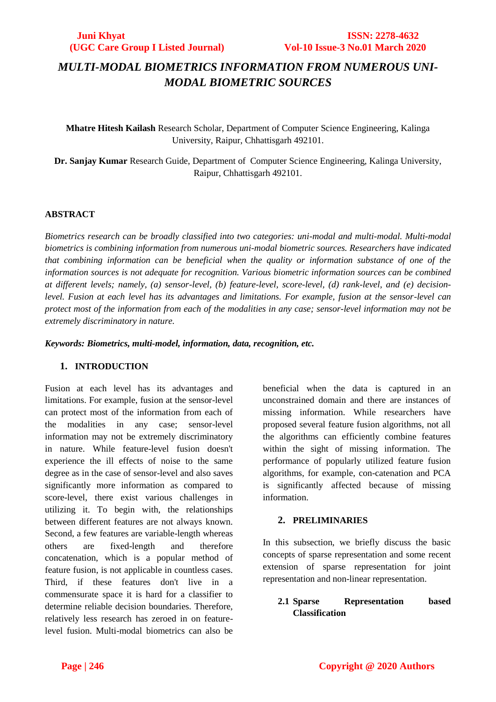# *MULTI-MODAL BIOMETRICS INFORMATION FROM NUMEROUS UNI-MODAL BIOMETRIC SOURCES*

**Mhatre Hitesh Kailash** Research Scholar, Department of Computer Science Engineering, Kalinga University, Raipur, Chhattisgarh 492101.

**Dr. Sanjay Kumar** Research Guide, Department of Computer Science Engineering, Kalinga University, Raipur, Chhattisgarh 492101.

### **ABSTRACT**

*Biometrics research can be broadly classified into two categories: uni-modal and multi-modal. Multi-modal biometrics is combining information from numerous uni-modal biometric sources. Researchers have indicated that combining information can be beneficial when the quality or information substance of one of the information sources is not adequate for recognition. Various biometric information sources can be combined at different levels; namely, (a) sensor-level, (b) feature-level, score-level, (d) rank-level, and (e) decisionlevel. Fusion at each level has its advantages and limitations. For example, fusion at the sensor-level can protect most of the information from each of the modalities in any case; sensor-level information may not be extremely discriminatory in nature.*

*Keywords: Biometrics, multi-model, information, data, recognition, etc.*

# **1. INTRODUCTION**

Fusion at each level has its advantages and limitations. For example, fusion at the sensor-level can protect most of the information from each of the modalities in any case; sensor-level information may not be extremely discriminatory in nature. While feature-level fusion doesn't experience the ill effects of noise to the same degree as in the case of sensor-level and also saves significantly more information as compared to score-level, there exist various challenges in utilizing it. To begin with, the relationships between different features are not always known. Second, a few features are variable-length whereas others are fixed-length and therefore concatenation, which is a popular method of feature fusion, is not applicable in countless cases. Third, if these features don't live in a commensurate space it is hard for a classifier to determine reliable decision boundaries. Therefore, relatively less research has zeroed in on featurelevel fusion. Multi-modal biometrics can also be

beneficial when the data is captured in an unconstrained domain and there are instances of missing information. While researchers have proposed several feature fusion algorithms, not all the algorithms can efficiently combine features within the sight of missing information. The performance of popularly utilized feature fusion algorithms, for example, con-catenation and PCA is significantly affected because of missing information.

#### **2. PRELIMINARIES**

In this subsection, we briefly discuss the basic concepts of sparse representation and some recent extension of sparse representation for joint representation and non-linear representation.

# **2.1 Sparse Representation based Classification**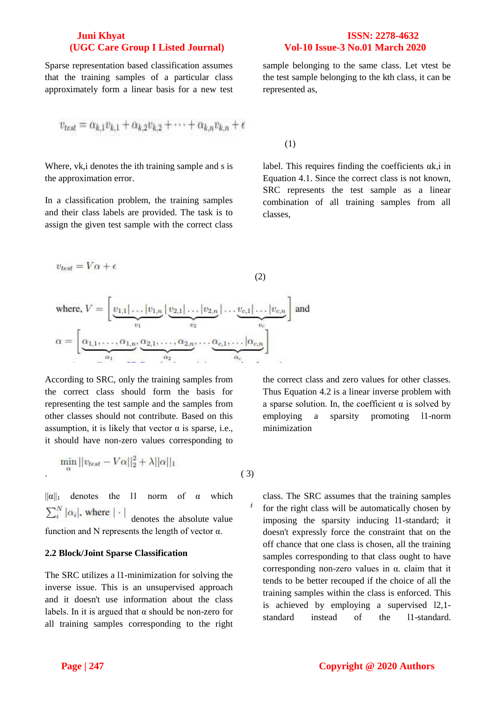Sparse representation based classification assumes that the training samples of a particular class approximately form a linear basis for a new test

sample belonging to the same class. Let vtest be the test sample belonging to the kth class, it can be represented as,

$$
v_{test} = \alpha_{k,1}v_{k,1} + \alpha_{k,2}v_{k,2} + \cdots + \alpha_{k,n}v_{k,n} + \epsilon
$$

Where, vk,i denotes the ith training sample and s is the approximation error.

In a classification problem, the training samples and their class labels are provided. The task is to assign the given test sample with the correct class

label. This requires finding the coefficients αk,i in Equation 4.1. Since the correct class is not known, SRC represents the test sample as a linear combination of all training samples from all classes,

(1)

$$
v_{test} = V\alpha + \epsilon
$$
\n(2)  
\nwhere,  $V = \left[\underbrace{v_{1,1}|\dots|v_{1,n}}_{v_1} \underbrace{v_{2,1}|\dots|v_{2,n}}_{v_2} \underbrace{|\dots \underbrace{v_{c,1}|\dots|v_{c,n}}_{v_c}\right]$  and  
\n
$$
\alpha = \left[\underbrace{\alpha_{1,1},\dots,\alpha_{1,n}}_{\alpha_1}, \underbrace{\alpha_{2,1},\dots,\alpha_{2,n}}_{\alpha_2}, \dots, \underbrace{\alpha_{c,1},\dots|\alpha_{c,n}}_{\alpha_c}\right]
$$

*i*

According to SRC, only the training samples from the correct class should form the basis for representing the test sample and the samples from other classes should not contribute. Based on this assumption, it is likely that vector  $\alpha$  is sparse, i.e., it should have non-zero values corresponding to

$$
\min_{\alpha} ||v_{test} - V\alpha||_2^2 + \lambda ||\alpha||_1
$$
\n(3)

 $||\alpha||_1$  denotes the 11 norm of  $\alpha$  which  $\sum_{i}^{N} |\alpha_i|$ , where  $|\cdot|$  denotes the absolute value function and N represents the length of vector  $\alpha$ .

#### **2.2 Block/Joint Sparse Classification**

The SRC utilizes a l1-minimization for solving the inverse issue. This is an unsupervised approach and it doesn't use information about the class labels. In it is argued that  $\alpha$  should be non-zero for all training samples corresponding to the right the correct class and zero values for other classes. Thus Equation 4.2 is a linear inverse problem with a sparse solution. In, the coefficient  $\alpha$  is solved by employing a sparsity promoting l1-norm minimization

class. The SRC assumes that the training samples for the right class will be automatically chosen by imposing the sparsity inducing l1-standard; it doesn't expressly force the constraint that on the off chance that one class is chosen, all the training samples corresponding to that class ought to have corresponding non-zero values in  $\alpha$ . claim that it tends to be better recouped if the choice of all the training samples within the class is enforced. This is achieved by employing a supervised l2,1-

standard instead of the l1-standard.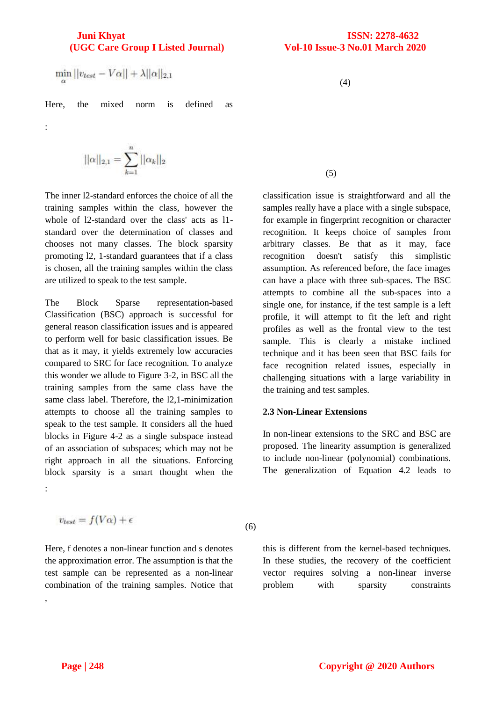$$
\min_\alpha ||v_{test} - V\alpha|| + \lambda ||\alpha||_{2,1}
$$

Here, the mixed norm is defined as

:

$$
|\alpha||_{2,1} = \sum_{k=1}^{n} ||\alpha_k||_2
$$

The inner l2-standard enforces the choice of all the training samples within the class, however the whole of l2-standard over the class' acts as l1 standard over the determination of classes and chooses not many classes. The block sparsity promoting l2, 1-standard guarantees that if a class is chosen, all the training samples within the class are utilized to speak to the test sample.

The Block Sparse representation-based Classification (BSC) approach is successful for general reason classification issues and is appeared to perform well for basic classification issues. Be that as it may, it yields extremely low accuracies compared to SRC for face recognition. To analyze this wonder we allude to Figure 3-2, in BSC all the training samples from the same class have the same class label. Therefore, the l2,1-minimization attempts to choose all the training samples to speak to the test sample. It considers all the hued blocks in Figure 4-2 as a single subspace instead of an association of subspaces; which may not be right approach in all the situations. Enforcing block sparsity is a smart thought when the :

$$
v_{test} = f(V\alpha) + \epsilon
$$

Here, f denotes a non-linear function and s denotes the approximation error. The assumption is that the test sample can be represented as a non-linear combination of the training samples. Notice that ,

(4)

### (5)

classification issue is straightforward and all the samples really have a place with a single subspace, for example in fingerprint recognition or character recognition. It keeps choice of samples from arbitrary classes. Be that as it may, face recognition doesn't satisfy this simplistic assumption. As referenced before, the face images can have a place with three sub-spaces. The BSC attempts to combine all the sub-spaces into a single one, for instance, if the test sample is a left profile, it will attempt to fit the left and right profiles as well as the frontal view to the test sample. This is clearly a mistake inclined technique and it has been seen that BSC fails for face recognition related issues, especially in challenging situations with a large variability in the training and test samples.

#### **2.3 Non-Linear Extensions**

In non-linear extensions to the SRC and BSC are proposed. The linearity assumption is generalized to include non-linear (polynomial) combinations. The generalization of Equation 4.2 leads to

(6)

this is different from the kernel-based techniques. In these studies, the recovery of the coefficient vector requires solving a non-linear inverse problem with sparsity constraints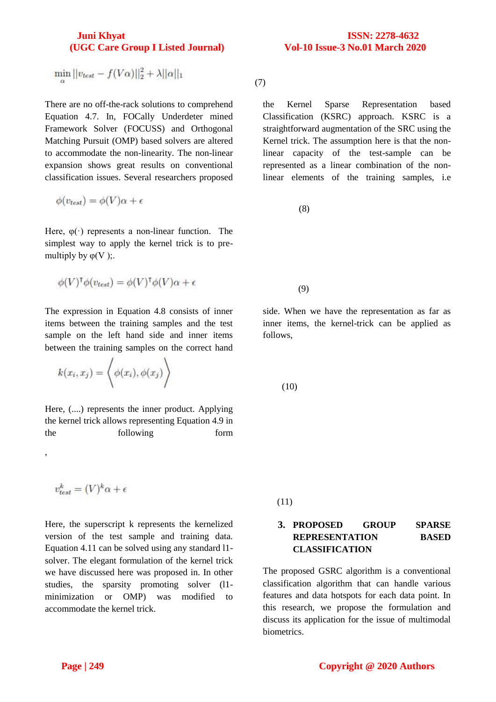$\min_{\alpha} ||v_{test} - f(V\alpha)||_2^2 + \lambda ||\alpha||_1$ 

There are no off-the-rack solutions to comprehend Equation 4.7. In, FOCally Underdeter mined Framework Solver (FOCUSS) and Orthogonal Matching Pursuit (OMP) based solvers are altered to accommodate the non-linearity. The non-linear expansion shows great results on conventional classification issues. Several researchers proposed

$$
\phi(v_{test}) = \phi(V)\alpha + \epsilon
$$

Here,  $\varphi(\cdot)$  represents a non-linear function. The simplest way to apply the kernel trick is to premultiply by  $\varphi(V)$ ;.

$$
\phi(V)^{\mathsf{T}}\phi(v_{test}) = \phi(V)^{\mathsf{T}}\phi(V)\alpha + \epsilon
$$

The expression in Equation 4.8 consists of inner items between the training samples and the test sample on the left hand side and inner items between the training samples on the correct hand

$$
k(x_i, x_j) = \left\langle \phi(x_i), \phi(x_j) \right\rangle
$$

Here, (....) represents the inner product. Applying the kernel trick allows representing Equation 4.9 in the following form

$$
v_{test}^k = (V)^k \alpha + \epsilon
$$

,

Here, the superscript k represents the kernelized version of the test sample and training data. Equation 4.11 can be solved using any standard l1 solver. The elegant formulation of the kernel trick we have discussed here was proposed in. In other studies, the sparsity promoting solver (l1 minimization or OMP) was modified to accommodate the kernel trick.

(7)

the Kernel Sparse Representation based Classification (KSRC) approach. KSRC is a straightforward augmentation of the SRC using the Kernel trick. The assumption here is that the nonlinear capacity of the test-sample can be represented as a linear combination of the nonlinear elements of the training samples, i.e

(8)

(9)

side. When we have the representation as far as inner items, the kernel-trick can be applied as follows,

(10)

(11)

# **3. PROPOSED GROUP SPARSE REPRESENTATION BASED CLASSIFICATION**

The proposed GSRC algorithm is a conventional classification algorithm that can handle various features and data hotspots for each data point. In this research, we propose the formulation and discuss its application for the issue of multimodal biometrics.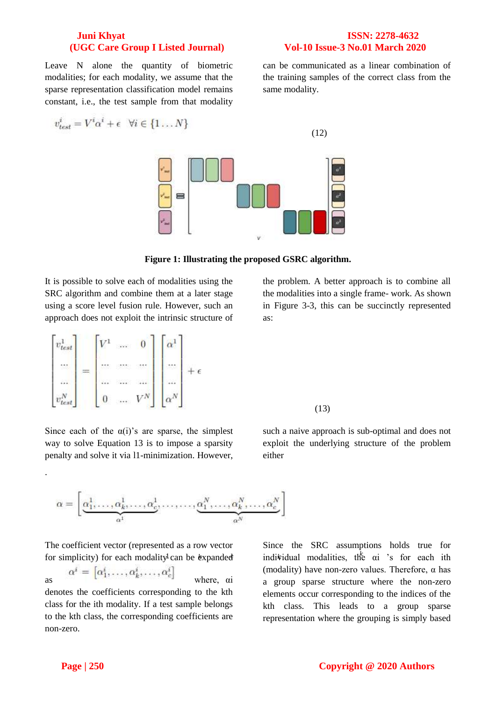can be communicated as a linear combination of the training samples of the correct class from the

Leave N alone the quantity of biometric modalities; for each modality, we assume that the sparse representation classification model remains constant, i.e., the test sample from that modality

$$
v_{test}^i = V^i \alpha^i + \epsilon \quad \forall i \in \{1 \dots N\}
$$



same modality.

(12)

#### **Figure 1: Illustrating the proposed GSRC algorithm.**

It is possible to solve each of modalities using the SRC algorithm and combine them at a later stage using a score level fusion rule. However, such an approach does not exploit the intrinsic structure of

$$
\begin{bmatrix} v_{test}^1 \\ \dots \\ v_{test}^N \end{bmatrix} = \begin{bmatrix} V^1 & \dots & 0 \\ \dots & \dots & \dots \\ \dots & \dots & \dots \\ 0 & \dots & V^N \end{bmatrix} \begin{bmatrix} \alpha^1 \\ \dots \\ \alpha^N \end{bmatrix} + \epsilon
$$

Since each of the  $\alpha(i)$ 's are sparse, the simplest way to solve Equation 13 is to impose a sparsity penalty and solve it via l1-minimization. However,

 $\boldsymbol{\alpha} = \left[ \underbrace{\alpha_1^1, \ldots, \alpha_k^1, \ldots, \alpha_G^1}_{\boldsymbol{\alpha}}, \ldots, \ldots, \underbrace{\alpha_1^N, \ldots, \alpha_k^N, \ldots, \alpha_c^N}_{\boldsymbol{\alpha}} \right]$ 

for simplicity) for each modality can be expanded indiv The coefficient vector (represented as a row vector

 $\alpha^i = [\alpha_1^i, \dots, \alpha_k^i, \dots, \alpha_c^i]$  where,  $\alpha$ denotes the coefficients corresponding to the kth class for the ith modality. If a test sample belongs to the kth class, the corresponding coefficients are non-zero.

indi<sup>*k*</sup>idual modalities, the αi 's for each ith Since the SRC assumptions holds true for (modality) have non-zero values. Therefore,  $\alpha$  has a group sparse structure where the non-zero elements occur corresponding to the indices of the kth class. This leads to a group sparse representation where the grouping is simply based

the problem. A better approach is to combine all the modalities into a single frame- work. As shown in Figure 3-3, this can be succinctly represented as:

such a naive approach is sub-optimal and does not exploit the underlying structure of the problem

(13)

either

.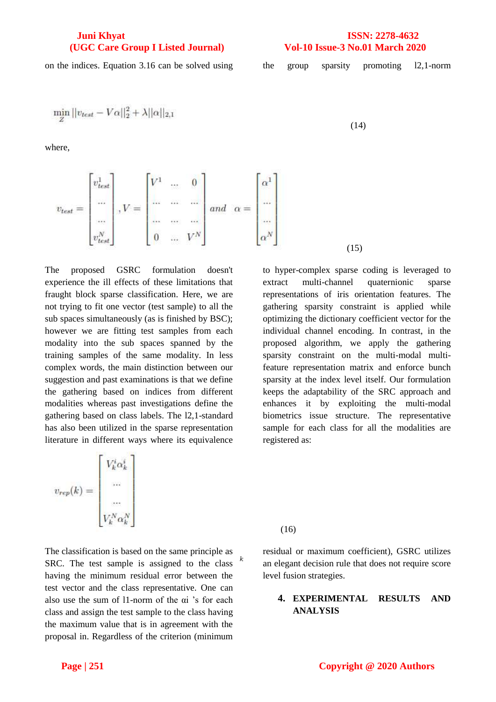on the indices. Equation 3.16 can be solved using the group sparsity promoting 12,1-norm

$$
12,1-110111
$$

$$
\min_Z ||v_{test} - V\alpha||_2^2 + \lambda ||\alpha||_{2,1}
$$

where,

$$
v_{test} = \begin{bmatrix} v_{test}^1 \\ \dots \\ \dots \\ v_{test}^N \end{bmatrix}, V = \begin{bmatrix} V^1 & \dots & 0 \\ \dots & \dots & \dots \\ \dots & \dots & \dots \\ 0 & \dots & V^N \end{bmatrix} and \alpha = \begin{bmatrix} \alpha^1 \\ \dots \\ \alpha^N \end{bmatrix}
$$
(15)

(14)

The proposed GSRC formulation doesn't experience the ill effects of these limitations that fraught block sparse classification. Here, we are not trying to fit one vector (test sample) to all the sub spaces simultaneously (as is finished by BSC); however we are fitting test samples from each modality into the sub spaces spanned by the training samples of the same modality. In less complex words, the main distinction between our suggestion and past examinations is that we define the gathering based on indices from different modalities whereas past investigations define the gathering based on class labels. The l2,1-standard has also been utilized in the sparse representation literature in different ways where its equivalence

 $v_{rep}(k) = \begin{bmatrix} V_k^i \alpha_k^i \ ... \ ... \ ... \ V_N - N \end{bmatrix}$ 

*k* The classification is based on the same principle as SRC. The test sample is assigned to the class having the minimum residual error between the test vector and the class representative. One can also use the sum of l1-norm of the αi 's for each class and assign the test sample to the class having the maximum value that is in agreement with the proposal in. Regardless of the criterion (minimum

to hyper-complex sparse coding is leveraged to extract multi-channel quaternionic sparse representations of iris orientation features. The gathering sparsity constraint is applied while optimizing the dictionary coefficient vector for the individual channel encoding. In contrast, in the proposed algorithm, we apply the gathering sparsity constraint on the multi-modal multifeature representation matrix and enforce bunch sparsity at the index level itself. Our formulation keeps the adaptability of the SRC approach and enhances it by exploiting the multi-modal biometrics issue structure. The representative sample for each class for all the modalities are registered as:

(16)

residual or maximum coefficient), GSRC utilizes an elegant decision rule that does not require score level fusion strategies.

### **4. EXPERIMENTAL RESULTS AND ANALYSIS**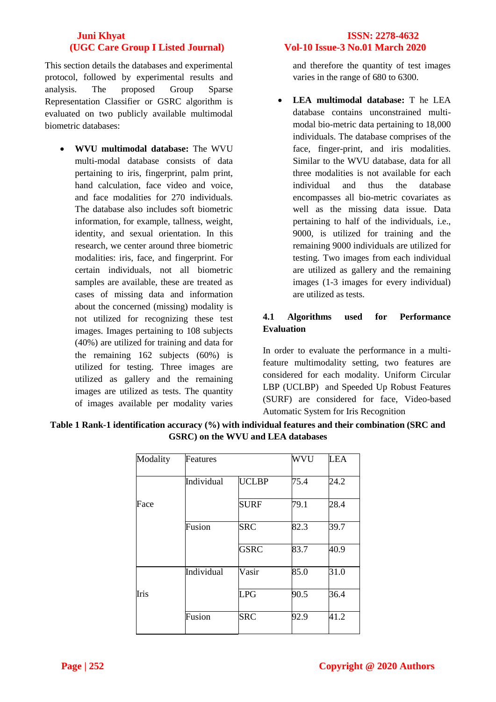This section details the databases and experimental protocol, followed by experimental results and analysis. The proposed Group Sparse Representation Classifier or GSRC algorithm is evaluated on two publicly available multimodal biometric databases:

 **WVU multimodal database:** The WVU multi-modal database consists of data pertaining to iris, fingerprint, palm print, hand calculation, face video and voice, and face modalities for 270 individuals. The database also includes soft biometric information, for example, tallness, weight, identity, and sexual orientation. In this research, we center around three biometric modalities: iris, face, and fingerprint. For certain individuals, not all biometric samples are available, these are treated as cases of missing data and information about the concerned (missing) modality is not utilized for recognizing these test images. Images pertaining to 108 subjects (40%) are utilized for training and data for the remaining 162 subjects (60%) is utilized for testing. Three images are utilized as gallery and the remaining images are utilized as tests. The quantity of images available per modality varies

and therefore the quantity of test images varies in the range of 680 to 6300.

 **LEA multimodal database:** T he LEA database contains unconstrained multimodal bio-metric data pertaining to 18,000 individuals. The database comprises of the face, finger-print, and iris modalities. Similar to the WVU database, data for all three modalities is not available for each individual and thus the database encompasses all bio-metric covariates as well as the missing data issue. Data pertaining to half of the individuals, i.e., 9000, is utilized for training and the remaining 9000 individuals are utilized for testing. Two images from each individual are utilized as gallery and the remaining images (1-3 images for every individual) are utilized as tests.

# **4.1 Algorithms used for Performance Evaluation**

In order to evaluate the performance in a multifeature multimodality setting, two features are considered for each modality. Uniform Circular LBP (UCLBP) and Speeded Up Robust Features (SURF) are considered for face, Video-based Automatic System for Iris Recognition

| Modality | Features   |              | <b>WVU</b> | <b>LEA</b> |
|----------|------------|--------------|------------|------------|
|          | Individual | <b>UCLBP</b> | 75.4       | 24.2       |
| Face     |            | <b>SURF</b>  | 79.1       | 28.4       |
|          | Fusion     | <b>SRC</b>   | 82.3       | 39.7       |
|          |            | <b>GSRC</b>  | 83.7       | 40.9       |
|          | Individual | Vasir        | 85.0       | 31.0       |
| Iris     |            | <b>LPG</b>   | 90.5       | 36.4       |
|          | Fusion     | <b>SRC</b>   | 92.9       | 41.2       |

**Table 1 Rank-1 identification accuracy (%) with individual features and their combination (SRC and GSRC) on the WVU and LEA databases**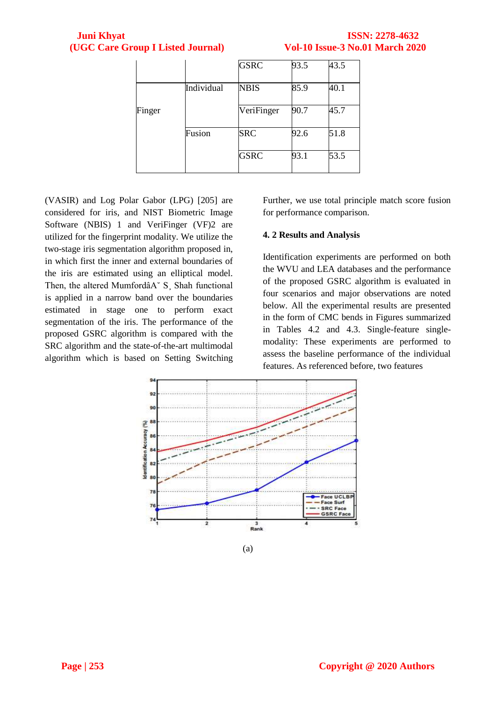# **Juni Khyat (UGC Care Group I Listed Journal)**

|                                        | <b>ISSN: 2278-4632</b> |  |
|----------------------------------------|------------------------|--|
| <b>Vol-10 Issue-3 No.01 March 2020</b> |                        |  |

|        |            | <b>GSRC</b> | 93.5 | 43.5 |
|--------|------------|-------------|------|------|
|        | Individual | <b>NBIS</b> | 85.9 | 40.1 |
| Finger |            | VeriFinger  | 90.7 | 45.7 |
|        | Fusion     | <b>SRC</b>  | 92.6 | 51.8 |
|        |            | <b>GSRC</b> | 93.1 | 53.5 |

(VASIR) and Log Polar Gabor (LPG) [205] are considered for iris, and NIST Biometric Image Software (NBIS) 1 and VeriFinger (VF)2 are utilized for the fingerprint modality. We utilize the two-stage iris segmentation algorithm proposed in, in which first the inner and external boundaries of the iris are estimated using an elliptical model. Then, the altered MumfordâA˘ S¸ Shah functional is applied in a narrow band over the boundaries estimated in stage one to perform exact segmentation of the iris. The performance of the proposed GSRC algorithm is compared with the SRC algorithm and the state-of-the-art multimodal algorithm which is based on Setting Switching Further, we use total principle match score fusion for performance comparison.

### **4. 2 Results and Analysis**

Identification experiments are performed on both the WVU and LEA databases and the performance of the proposed GSRC algorithm is evaluated in four scenarios and major observations are noted below. All the experimental results are presented in the form of CMC bends in Figures summarized in Tables 4.2 and 4.3. Single-feature singlemodality: These experiments are performed to assess the baseline performance of the individual features. As referenced before, two features



(a)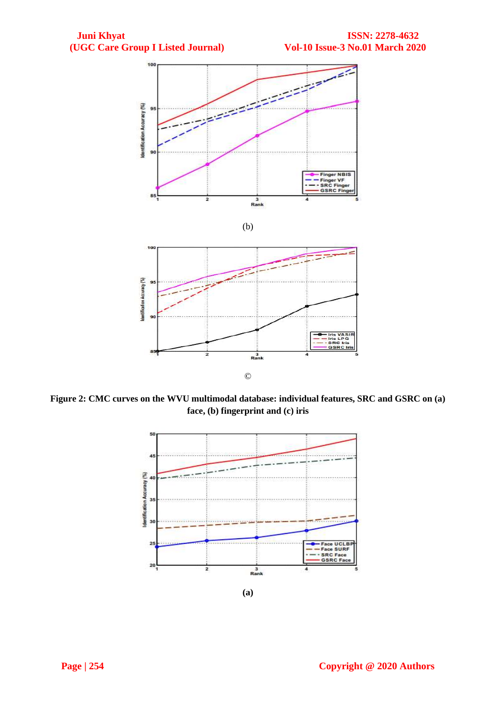





**Figure 2: CMC curves on the WVU multimodal database: individual features, SRC and GSRC on (a) face, (b) fingerprint and (c) iris**

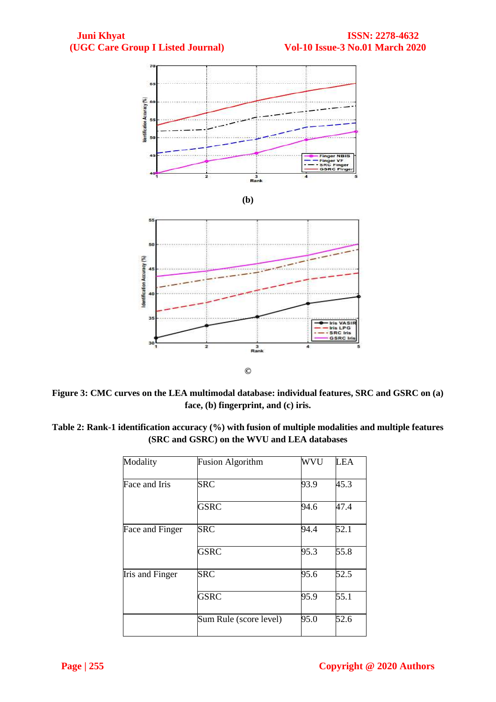

**Figure 3: CMC curves on the LEA multimodal database: individual features, SRC and GSRC on (a) face, (b) fingerprint, and (c) iris.**

**Table 2: Rank-1 identification accuracy (%) with fusion of multiple modalities and multiple features (SRC and GSRC) on the WVU and LEA databases**

| Modality        | <b>Fusion Algorithm</b> | <b>WVU</b> | <b>LEA</b> |
|-----------------|-------------------------|------------|------------|
| Face and Iris   | <b>SRC</b>              | 93.9       | 45.3       |
|                 | <b>GSRC</b>             | 94.6       | 47.4       |
| Face and Finger | <b>SRC</b>              | 94.4       | 52.1       |
|                 | GSRC                    | 95.3       | 55.8       |
| Iris and Finger | <b>SRC</b>              | 95.6       | 52.5       |
|                 | <b>GSRC</b>             | 95.9       | 55.1       |
|                 | Sum Rule (score level)  | 95.0       | 52.6       |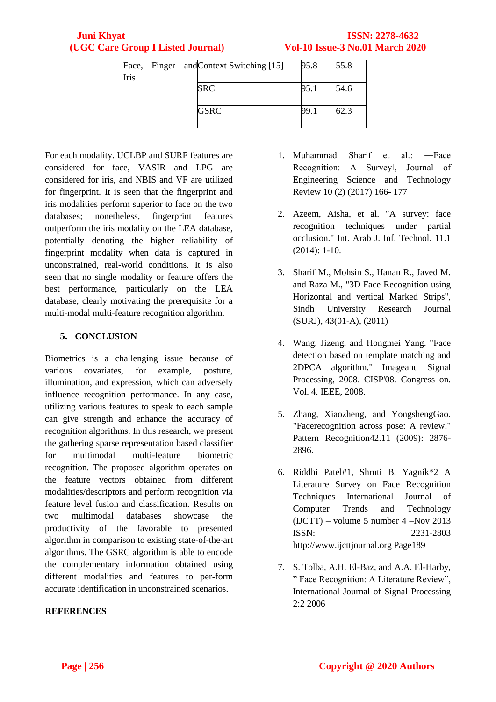|      |  | Face, Finger and Context Switching [15] | 95.8 | 55.8 |
|------|--|-----------------------------------------|------|------|
| Iris |  |                                         |      |      |
|      |  | <b>SRC</b>                              | 95.1 | 54.6 |
|      |  |                                         |      |      |
|      |  | <b>GSRC</b>                             | 99.1 | 62.3 |
|      |  |                                         |      |      |

For each modality. UCLBP and SURF features are considered for face, VASIR and LPG are considered for iris, and NBIS and VF are utilized for fingerprint. It is seen that the fingerprint and iris modalities perform superior to face on the two databases; nonetheless, fingerprint features outperform the iris modality on the LEA database, potentially denoting the higher reliability of fingerprint modality when data is captured in unconstrained, real-world conditions. It is also seen that no single modality or feature offers the best performance, particularly on the LEA database, clearly motivating the prerequisite for a multi-modal multi-feature recognition algorithm.

# **5. CONCLUSION**

Biometrics is a challenging issue because of various covariates, for example, posture, illumination, and expression, which can adversely influence recognition performance. In any case, utilizing various features to speak to each sample can give strength and enhance the accuracy of recognition algorithms. In this research, we present the gathering sparse representation based classifier for multimodal multi-feature biometric recognition. The proposed algorithm operates on the feature vectors obtained from different modalities/descriptors and perform recognition via feature level fusion and classification. Results on two multimodal databases showcase the productivity of the favorable to presented algorithm in comparison to existing state-of-the-art algorithms. The GSRC algorithm is able to encode the complementary information obtained using different modalities and features to per-form accurate identification in unconstrained scenarios.

# **REFERENCES**

- 1. Muhammad Sharif et al.: ―Face Recognition: A Surveyl, Journal of Engineering Science and Technology Review 10 (2) (2017) 166- 177
- 2. Azeem, Aisha, et al. "A survey: face recognition techniques under partial occlusion." Int. Arab J. Inf. Technol. 11.1 (2014): 1-10.
- 3. Sharif M., Mohsin S., Hanan R., Javed M. and Raza M., "3D Face Recognition using Horizontal and vertical Marked Strips", Sindh University Research Journal (SURJ), 43(01-A), (2011)
- 4. Wang, Jizeng, and Hongmei Yang. "Face detection based on template matching and 2DPCA algorithm." Imageand Signal Processing, 2008. CISP'08. Congress on. Vol. 4. IEEE, 2008.
- 5. Zhang, Xiaozheng, and YongshengGao. "Facerecognition across pose: A review." Pattern Recognition42.11 (2009): 2876- 2896.
- 6. Riddhi Patel#1, Shruti B. Yagnik\*2 A Literature Survey on Face Recognition Techniques International Journal of Computer Trends and Technology (IJCTT) – volume 5 number 4 –Nov 2013 ISSN: 2231-2803 http://www.ijcttjournal.org Page189
- 7. S. Tolba, A.H. El-Baz, and A.A. El-Harby, " Face Recognition: A Literature Review", International Journal of Signal Processing 2:2 2006